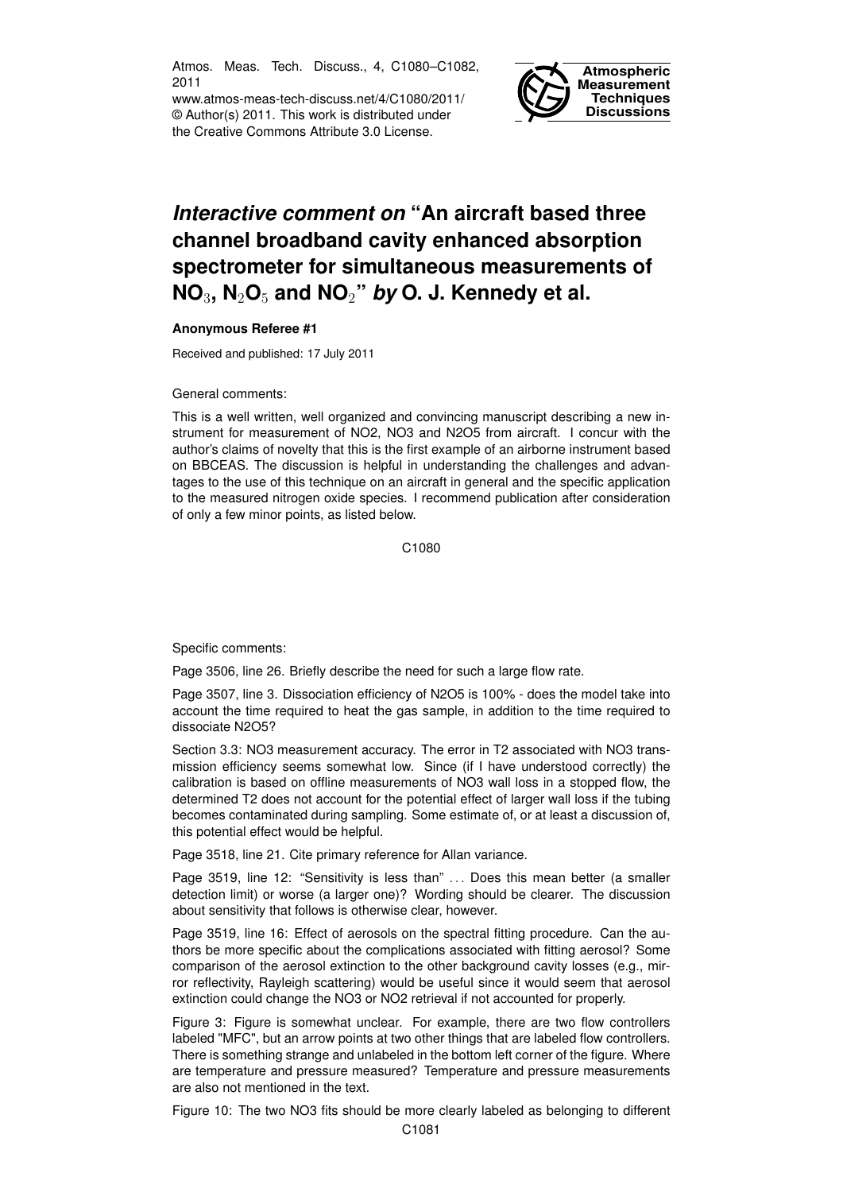Atmos. Meas. Tech. Discuss., 4, C1080–C1082, 2011

www.atmos-meas-tech-discuss.net/4/C1080/2011/ © Author(s) 2011. This work is distributed under the Creative Commons Attribute 3.0 License.



## *Interactive comment on* **"An aircraft based three channel broadband cavity enhanced absorption spectrometer for simultaneous measurements of NO**3**, N**2**O**<sup>5</sup> **and NO**2**"** *by* **O. J. Kennedy et al.**

## **Anonymous Referee #1**

Received and published: 17 July 2011

General comments:

This is a well written, well organized and convincing manuscript describing a new instrument for measurement of NO2, NO3 and N2O5 from aircraft. I concur with the author's claims of novelty that this is the first example of an airborne instrument based on BBCEAS. The discussion is helpful in understanding the challenges and advantages to the use of this technique on an aircraft in general and the specific application to the measured nitrogen oxide species. I recommend publication after consideration of only a few minor points, as listed below.

C1080

Specific comments:

Page 3506, line 26. Briefly describe the need for such a large flow rate.

Page 3507, line 3. Dissociation efficiency of N2O5 is 100% - does the model take into account the time required to heat the gas sample, in addition to the time required to dissociate N2O5?

Section 3.3: NO3 measurement accuracy. The error in T2 associated with NO3 transmission efficiency seems somewhat low. Since (if I have understood correctly) the calibration is based on offline measurements of NO3 wall loss in a stopped flow, the determined T2 does not account for the potential effect of larger wall loss if the tubing becomes contaminated during sampling. Some estimate of, or at least a discussion of, this potential effect would be helpful.

Page 3518, line 21. Cite primary reference for Allan variance.

Page 3519, line 12: "Sensitivity is less than" ... Does this mean better (a smaller detection limit) or worse (a larger one)? Wording should be clearer. The discussion about sensitivity that follows is otherwise clear, however.

Page 3519, line 16: Effect of aerosols on the spectral fitting procedure. Can the authors be more specific about the complications associated with fitting aerosol? Some comparison of the aerosol extinction to the other background cavity losses (e.g., mirror reflectivity, Rayleigh scattering) would be useful since it would seem that aerosol extinction could change the NO3 or NO2 retrieval if not accounted for properly.

Figure 3: Figure is somewhat unclear. For example, there are two flow controllers labeled "MFC", but an arrow points at two other things that are labeled flow controllers. There is something strange and unlabeled in the bottom left corner of the figure. Where are temperature and pressure measured? Temperature and pressure measurements are also not mentioned in the text.

Figure 10: The two NO3 fits should be more clearly labeled as belonging to different